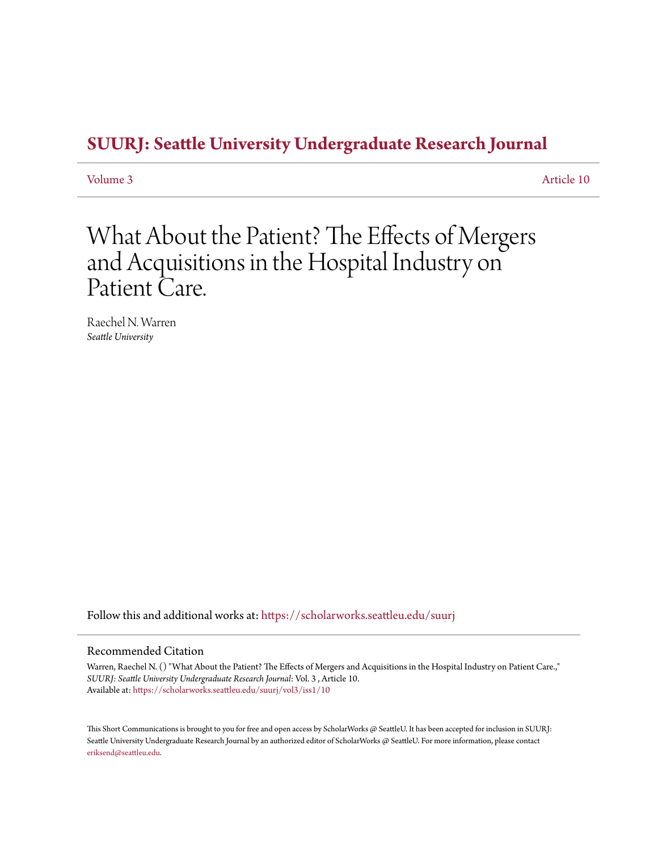## **[SUURJ: Seattle University Undergraduate Research Journal](https://scholarworks.seattleu.edu/suurj?utm_source=scholarworks.seattleu.edu%2Fsuurj%2Fvol3%2Fiss1%2F10&utm_medium=PDF&utm_campaign=PDFCoverPages)**

[Volume 3](https://scholarworks.seattleu.edu/suurj/vol3?utm_source=scholarworks.seattleu.edu%2Fsuurj%2Fvol3%2Fiss1%2F10&utm_medium=PDF&utm_campaign=PDFCoverPages) [Article 10](https://scholarworks.seattleu.edu/suurj/vol3/iss1/10?utm_source=scholarworks.seattleu.edu%2Fsuurj%2Fvol3%2Fiss1%2F10&utm_medium=PDF&utm_campaign=PDFCoverPages)

## What About the Patient? The Effects of Mergers and Acquisitions in the Hospital Industry on Patient Care.

Raechel N. Warren *Seattle University*

Follow this and additional works at: [https://scholarworks.seattleu.edu/suurj](https://scholarworks.seattleu.edu/suurj?utm_source=scholarworks.seattleu.edu%2Fsuurj%2Fvol3%2Fiss1%2F10&utm_medium=PDF&utm_campaign=PDFCoverPages)

### Recommended Citation

Warren, Raechel N. () "What About the Patient? The Effects of Mergers and Acquisitions in the Hospital Industry on Patient Care.," *SUURJ: Seattle University Undergraduate Research Journal*: Vol. 3 , Article 10. Available at: [https://scholarworks.seattleu.edu/suurj/vol3/iss1/10](https://scholarworks.seattleu.edu/suurj/vol3/iss1/10?utm_source=scholarworks.seattleu.edu%2Fsuurj%2Fvol3%2Fiss1%2F10&utm_medium=PDF&utm_campaign=PDFCoverPages)

This Short Communications is brought to you for free and open access by ScholarWorks @ SeattleU. It has been accepted for inclusion in SUURJ: Seattle University Undergraduate Research Journal by an authorized editor of ScholarWorks @ SeattleU. For more information, please contact [eriksend@seattleu.edu.](mailto:eriksend@seattleu.edu)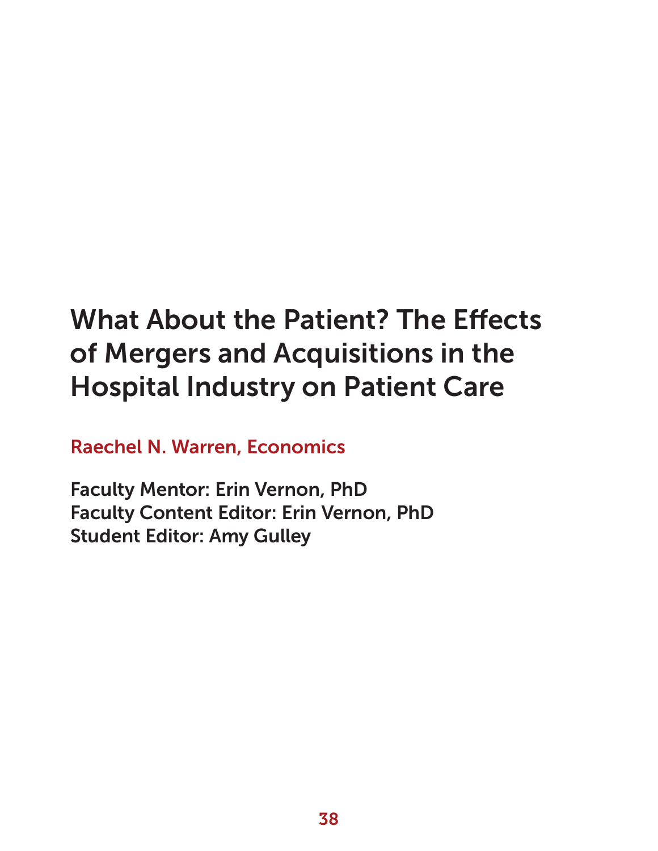# What About the Patient? The Effects of Mergers and Acquisitions in the Hospital Industry on Patient Care

Raechel N. Warren, Economics

Faculty Mentor: Erin Vernon, PhD Faculty Content Editor: Erin Vernon, PhD Student Editor: Amy Gulley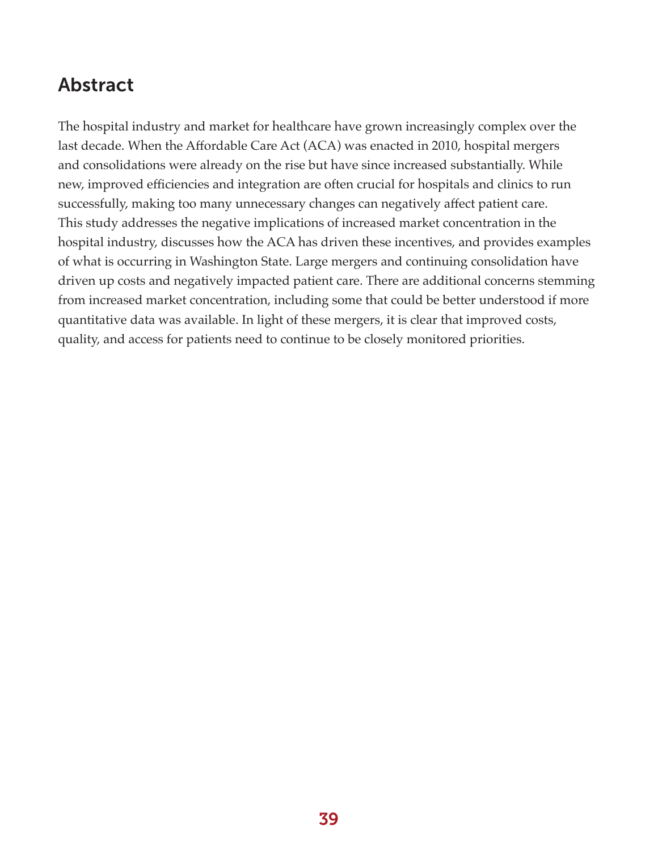## Abstract

The hospital industry and market for healthcare have grown increasingly complex over the last decade. When the Affordable Care Act (ACA) was enacted in 2010, hospital mergers and consolidations were already on the rise but have since increased substantially. While new, improved efficiencies and integration are often crucial for hospitals and clinics to run successfully, making too many unnecessary changes can negatively affect patient care. This study addresses the negative implications of increased market concentration in the hospital industry, discusses how the ACA has driven these incentives, and provides examples of what is occurring in Washington State. Large mergers and continuing consolidation have driven up costs and negatively impacted patient care. There are additional concerns stemming from increased market concentration, including some that could be better understood if more quantitative data was available. In light of these mergers, it is clear that improved costs, quality, and access for patients need to continue to be closely monitored priorities.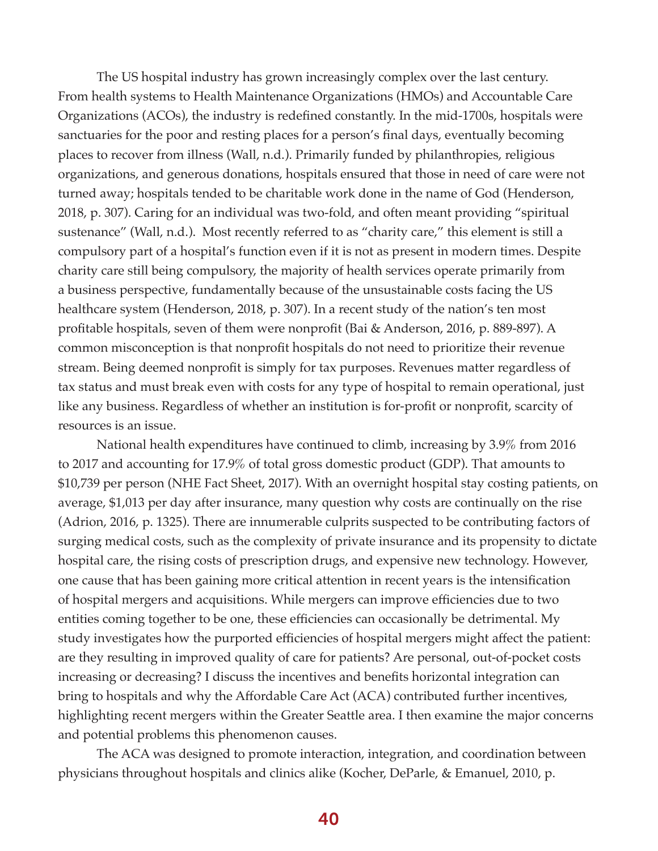The US hospital industry has grown increasingly complex over the last century. From health systems to Health Maintenance Organizations (HMOs) and Accountable Care Organizations (ACOs), the industry is redefined constantly. In the mid-1700s, hospitals were sanctuaries for the poor and resting places for a person's final days, eventually becoming places to recover from illness (Wall, n.d.). Primarily funded by philanthropies, religious organizations, and generous donations, hospitals ensured that those in need of care were not turned away; hospitals tended to be charitable work done in the name of God (Henderson, 2018, p. 307). Caring for an individual was two-fold, and often meant providing "spiritual sustenance" (Wall, n.d.). Most recently referred to as "charity care," this element is still a compulsory part of a hospital's function even if it is not as present in modern times. Despite charity care still being compulsory, the majority of health services operate primarily from a business perspective, fundamentally because of the unsustainable costs facing the US healthcare system (Henderson, 2018, p. 307). In a recent study of the nation's ten most profitable hospitals, seven of them were nonprofit (Bai & Anderson, 2016, p. 889-897). A common misconception is that nonprofit hospitals do not need to prioritize their revenue stream. Being deemed nonprofit is simply for tax purposes. Revenues matter regardless of tax status and must break even with costs for any type of hospital to remain operational, just like any business. Regardless of whether an institution is for-profit or nonprofit, scarcity of resources is an issue.

National health expenditures have continued to climb, increasing by 3.9% from 2016 to 2017 and accounting for 17.9% of total gross domestic product (GDP). That amounts to \$10,739 per person (NHE Fact Sheet, 2017). With an overnight hospital stay costing patients, on average, \$1,013 per day after insurance, many question why costs are continually on the rise (Adrion, 2016, p. 1325). There are innumerable culprits suspected to be contributing factors of surging medical costs, such as the complexity of private insurance and its propensity to dictate hospital care, the rising costs of prescription drugs, and expensive new technology. However, one cause that has been gaining more critical attention in recent years is the intensification of hospital mergers and acquisitions. While mergers can improve efficiencies due to two entities coming together to be one, these efficiencies can occasionally be detrimental. My study investigates how the purported efficiencies of hospital mergers might affect the patient: are they resulting in improved quality of care for patients? Are personal, out-of-pocket costs increasing or decreasing? I discuss the incentives and benefits horizontal integration can bring to hospitals and why the Affordable Care Act (ACA) contributed further incentives, highlighting recent mergers within the Greater Seattle area. I then examine the major concerns and potential problems this phenomenon causes.

The ACA was designed to promote interaction, integration, and coordination between physicians throughout hospitals and clinics alike (Kocher, DeParle, & Emanuel, 2010, p.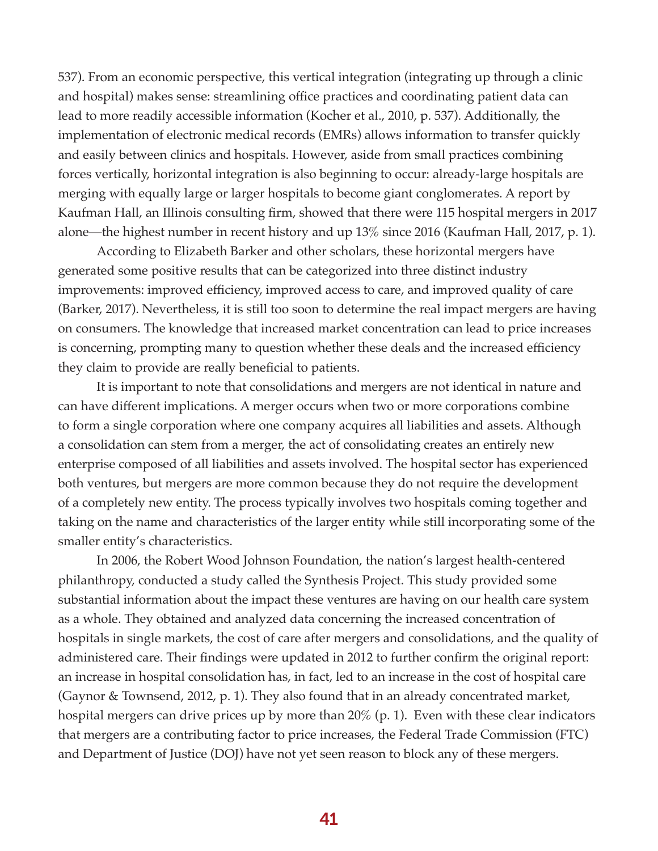537). From an economic perspective, this vertical integration (integrating up through a clinic and hospital) makes sense: streamlining office practices and coordinating patient data can lead to more readily accessible information (Kocher et al., 2010, p. 537). Additionally, the implementation of electronic medical records (EMRs) allows information to transfer quickly and easily between clinics and hospitals. However, aside from small practices combining forces vertically, horizontal integration is also beginning to occur: already-large hospitals are merging with equally large or larger hospitals to become giant conglomerates. A report by Kaufman Hall, an Illinois consulting firm, showed that there were 115 hospital mergers in 2017 alone—the highest number in recent history and up 13% since 2016 (Kaufman Hall, 2017, p. 1).

According to Elizabeth Barker and other scholars, these horizontal mergers have generated some positive results that can be categorized into three distinct industry improvements: improved efficiency, improved access to care, and improved quality of care (Barker, 2017). Nevertheless, it is still too soon to determine the real impact mergers are having on consumers. The knowledge that increased market concentration can lead to price increases is concerning, prompting many to question whether these deals and the increased efficiency they claim to provide are really beneficial to patients.

It is important to note that consolidations and mergers are not identical in nature and can have different implications. A merger occurs when two or more corporations combine to form a single corporation where one company acquires all liabilities and assets. Although a consolidation can stem from a merger, the act of consolidating creates an entirely new enterprise composed of all liabilities and assets involved. The hospital sector has experienced both ventures, but mergers are more common because they do not require the development of a completely new entity. The process typically involves two hospitals coming together and taking on the name and characteristics of the larger entity while still incorporating some of the smaller entity's characteristics.

In 2006, the Robert Wood Johnson Foundation, the nation's largest health-centered philanthropy, conducted a study called the Synthesis Project. This study provided some substantial information about the impact these ventures are having on our health care system as a whole. They obtained and analyzed data concerning the increased concentration of hospitals in single markets, the cost of care after mergers and consolidations, and the quality of administered care. Their findings were updated in 2012 to further confirm the original report: an increase in hospital consolidation has, in fact, led to an increase in the cost of hospital care (Gaynor & Townsend, 2012, p. 1). They also found that in an already concentrated market, hospital mergers can drive prices up by more than 20% (p. 1). Even with these clear indicators that mergers are a contributing factor to price increases, the Federal Trade Commission (FTC) and Department of Justice (DOJ) have not yet seen reason to block any of these mergers.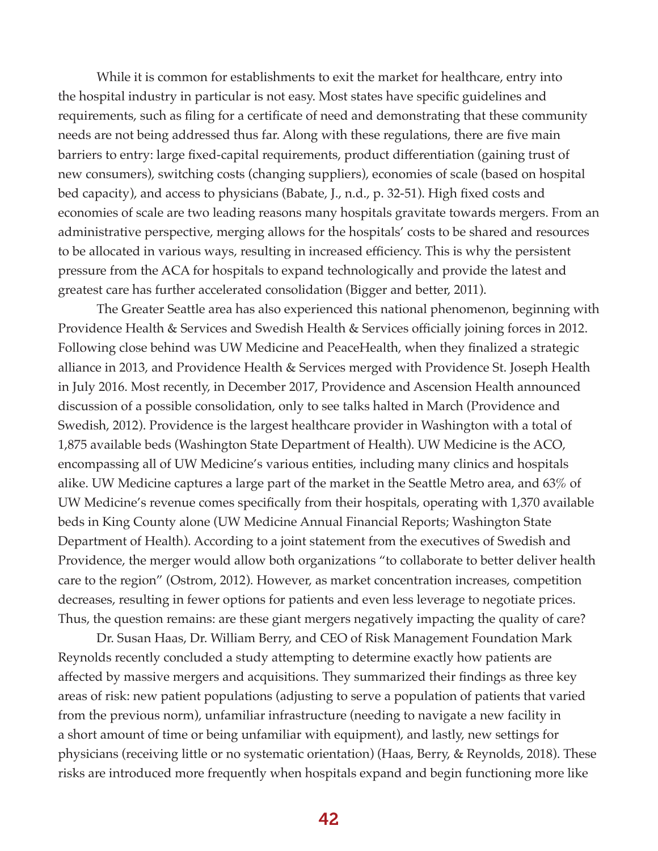While it is common for establishments to exit the market for healthcare, entry into the hospital industry in particular is not easy. Most states have specific guidelines and requirements, such as filing for a certificate of need and demonstrating that these community needs are not being addressed thus far. Along with these regulations, there are five main barriers to entry: large fixed-capital requirements, product differentiation (gaining trust of new consumers), switching costs (changing suppliers), economies of scale (based on hospital bed capacity), and access to physicians (Babate, J., n.d., p. 32-51). High fixed costs and economies of scale are two leading reasons many hospitals gravitate towards mergers. From an administrative perspective, merging allows for the hospitals' costs to be shared and resources to be allocated in various ways, resulting in increased efficiency. This is why the persistent pressure from the ACA for hospitals to expand technologically and provide the latest and greatest care has further accelerated consolidation (Bigger and better, 2011).

The Greater Seattle area has also experienced this national phenomenon, beginning with Providence Health & Services and Swedish Health & Services officially joining forces in 2012. Following close behind was UW Medicine and PeaceHealth, when they finalized a strategic alliance in 2013, and Providence Health & Services merged with Providence St. Joseph Health in July 2016. Most recently, in December 2017, Providence and Ascension Health announced discussion of a possible consolidation, only to see talks halted in March (Providence and Swedish, 2012). Providence is the largest healthcare provider in Washington with a total of 1,875 available beds (Washington State Department of Health). UW Medicine is the ACO, encompassing all of UW Medicine's various entities, including many clinics and hospitals alike. UW Medicine captures a large part of the market in the Seattle Metro area, and 63% of UW Medicine's revenue comes specifically from their hospitals, operating with 1,370 available beds in King County alone (UW Medicine Annual Financial Reports; Washington State Department of Health). According to a joint statement from the executives of Swedish and Providence, the merger would allow both organizations "to collaborate to better deliver health care to the region" (Ostrom, 2012). However, as market concentration increases, competition decreases, resulting in fewer options for patients and even less leverage to negotiate prices. Thus, the question remains: are these giant mergers negatively impacting the quality of care?

Dr. Susan Haas, Dr. William Berry, and CEO of Risk Management Foundation Mark Reynolds recently concluded a study attempting to determine exactly how patients are affected by massive mergers and acquisitions. They summarized their findings as three key areas of risk: new patient populations (adjusting to serve a population of patients that varied from the previous norm), unfamiliar infrastructure (needing to navigate a new facility in a short amount of time or being unfamiliar with equipment), and lastly, new settings for physicians (receiving little or no systematic orientation) (Haas, Berry, & Reynolds, 2018). These risks are introduced more frequently when hospitals expand and begin functioning more like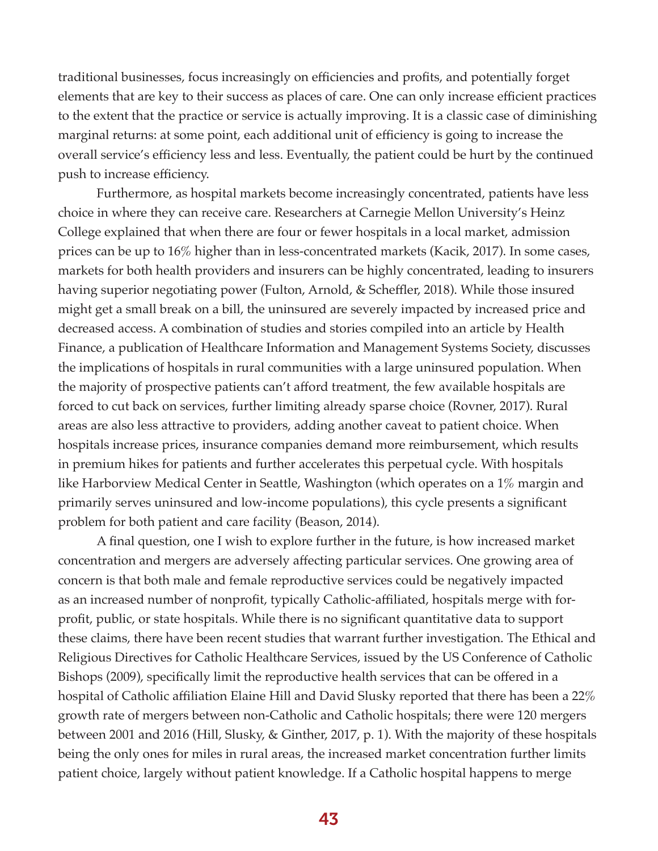traditional businesses, focus increasingly on efficiencies and profits, and potentially forget elements that are key to their success as places of care. One can only increase efficient practices to the extent that the practice or service is actually improving. It is a classic case of diminishing marginal returns: at some point, each additional unit of efficiency is going to increase the overall service's efficiency less and less. Eventually, the patient could be hurt by the continued push to increase efficiency.

Furthermore, as hospital markets become increasingly concentrated, patients have less choice in where they can receive care. Researchers at Carnegie Mellon University's Heinz College explained that when there are four or fewer hospitals in a local market, admission prices can be up to 16% higher than in less-concentrated markets (Kacik, 2017). In some cases, markets for both health providers and insurers can be highly concentrated, leading to insurers having superior negotiating power (Fulton, Arnold, & Scheffler, 2018). While those insured might get a small break on a bill, the uninsured are severely impacted by increased price and decreased access. A combination of studies and stories compiled into an article by Health Finance, a publication of Healthcare Information and Management Systems Society, discusses the implications of hospitals in rural communities with a large uninsured population. When the majority of prospective patients can't afford treatment, the few available hospitals are forced to cut back on services, further limiting already sparse choice (Rovner, 2017). Rural areas are also less attractive to providers, adding another caveat to patient choice. When hospitals increase prices, insurance companies demand more reimbursement, which results in premium hikes for patients and further accelerates this perpetual cycle. With hospitals like Harborview Medical Center in Seattle, Washington (which operates on a 1% margin and primarily serves uninsured and low-income populations), this cycle presents a significant problem for both patient and care facility (Beason, 2014).

A final question, one I wish to explore further in the future, is how increased market concentration and mergers are adversely affecting particular services. One growing area of concern is that both male and female reproductive services could be negatively impacted as an increased number of nonprofit, typically Catholic-affiliated, hospitals merge with forprofit, public, or state hospitals. While there is no significant quantitative data to support these claims, there have been recent studies that warrant further investigation. The Ethical and Religious Directives for Catholic Healthcare Services, issued by the US Conference of Catholic Bishops (2009), specifically limit the reproductive health services that can be offered in a hospital of Catholic affiliation Elaine Hill and David Slusky reported that there has been a 22% growth rate of mergers between non-Catholic and Catholic hospitals; there were 120 mergers between 2001 and 2016 (Hill, Slusky, & Ginther, 2017, p. 1). With the majority of these hospitals being the only ones for miles in rural areas, the increased market concentration further limits patient choice, largely without patient knowledge. If a Catholic hospital happens to merge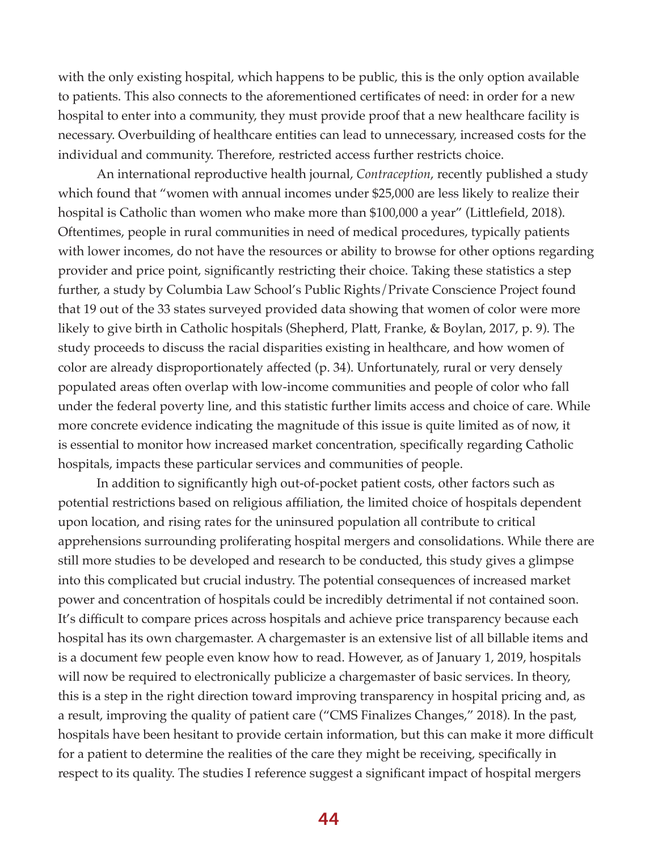with the only existing hospital, which happens to be public, this is the only option available to patients. This also connects to the aforementioned certificates of need: in order for a new hospital to enter into a community, they must provide proof that a new healthcare facility is necessary. Overbuilding of healthcare entities can lead to unnecessary, increased costs for the individual and community. Therefore, restricted access further restricts choice.

An international reproductive health journal, *Contraception*, recently published a study which found that "women with annual incomes under \$25,000 are less likely to realize their hospital is Catholic than women who make more than \$100,000 a year" (Littlefield, 2018). Oftentimes, people in rural communities in need of medical procedures, typically patients with lower incomes, do not have the resources or ability to browse for other options regarding provider and price point, significantly restricting their choice. Taking these statistics a step further, a study by Columbia Law School's Public Rights/Private Conscience Project found that 19 out of the 33 states surveyed provided data showing that women of color were more likely to give birth in Catholic hospitals (Shepherd, Platt, Franke, & Boylan, 2017, p. 9). The study proceeds to discuss the racial disparities existing in healthcare, and how women of color are already disproportionately affected (p. 34). Unfortunately, rural or very densely populated areas often overlap with low-income communities and people of color who fall under the federal poverty line, and this statistic further limits access and choice of care. While more concrete evidence indicating the magnitude of this issue is quite limited as of now, it is essential to monitor how increased market concentration, specifically regarding Catholic hospitals, impacts these particular services and communities of people.

In addition to significantly high out-of-pocket patient costs, other factors such as potential restrictions based on religious affiliation, the limited choice of hospitals dependent upon location, and rising rates for the uninsured population all contribute to critical apprehensions surrounding proliferating hospital mergers and consolidations. While there are still more studies to be developed and research to be conducted, this study gives a glimpse into this complicated but crucial industry. The potential consequences of increased market power and concentration of hospitals could be incredibly detrimental if not contained soon. It's difficult to compare prices across hospitals and achieve price transparency because each hospital has its own chargemaster. A chargemaster is an extensive list of all billable items and is a document few people even know how to read. However, as of January 1, 2019, hospitals will now be required to electronically publicize a chargemaster of basic services. In theory, this is a step in the right direction toward improving transparency in hospital pricing and, as a result, improving the quality of patient care ("CMS Finalizes Changes," 2018). In the past, hospitals have been hesitant to provide certain information, but this can make it more difficult for a patient to determine the realities of the care they might be receiving, specifically in respect to its quality. The studies I reference suggest a significant impact of hospital mergers

44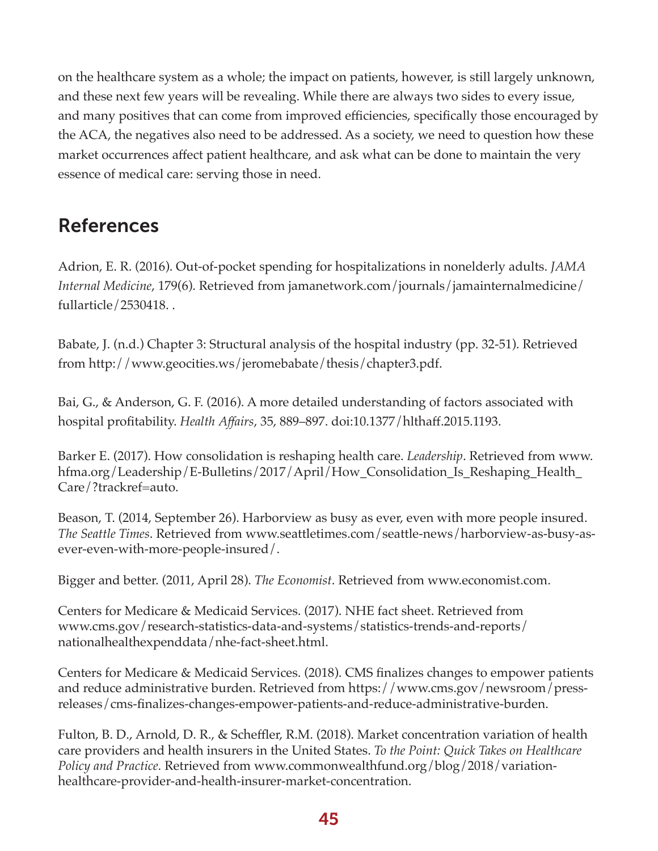on the healthcare system as a whole; the impact on patients, however, is still largely unknown, and these next few years will be revealing. While there are always two sides to every issue, and many positives that can come from improved efficiencies, specifically those encouraged by the ACA, the negatives also need to be addressed. As a society, we need to question how these market occurrences affect patient healthcare, and ask what can be done to maintain the very essence of medical care: serving those in need.

## References

Adrion, E. R. (2016). Out-of-pocket spending for hospitalizations in nonelderly adults. *JAMA Internal Medicine*, 179(6). Retrieved from jamanetwork.com/journals/jamainternalmedicine/ fullarticle/2530418. .

Babate, J. (n.d.) Chapter 3: Structural analysis of the hospital industry (pp. 32-51). Retrieved from http://www.geocities.ws/jeromebabate/thesis/chapter3.pdf.

Bai, G., & Anderson, G. F. (2016). A more detailed understanding of factors associated with hospital profitability. *Health Affairs*, 35, 889–897. doi:10.1377/hlthaff.2015.1193.

Barker E. (2017). How consolidation is reshaping health care. *Leadership*. Retrieved from www. hfma.org/Leadership/E-Bulletins/2017/April/How\_Consolidation\_Is\_Reshaping\_Health\_ Care/?trackref=auto.

Beason, T. (2014, September 26). Harborview as busy as ever, even with more people insured. *The Seattle Times*. Retrieved from www.seattletimes.com/seattle-news/harborview-as-busy-asever-even-with-more-people-insured/.

Bigger and better. (2011, April 28). *The Economist*. Retrieved from www.economist.com.

Centers for Medicare & Medicaid Services. (2017). NHE fact sheet. Retrieved from www.cms.gov/research-statistics-data-and-systems/statistics-trends-and-reports/ nationalhealthexpenddata/nhe-fact-sheet.html.

Centers for Medicare & Medicaid Services. (2018). CMS finalizes changes to empower patients and reduce administrative burden. Retrieved from https://www.cms.gov/newsroom/pressreleases/cms-finalizes-changes-empower-patients-and-reduce-administrative-burden.

Fulton, B. D., Arnold, D. R., & Scheffler, R.M. (2018). Market concentration variation of health care providers and health insurers in the United States. *To the Point: Quick Takes on Healthcare Policy and Practice.* Retrieved from www.commonwealthfund.org/blog/2018/variationhealthcare-provider-and-health-insurer-market-concentration.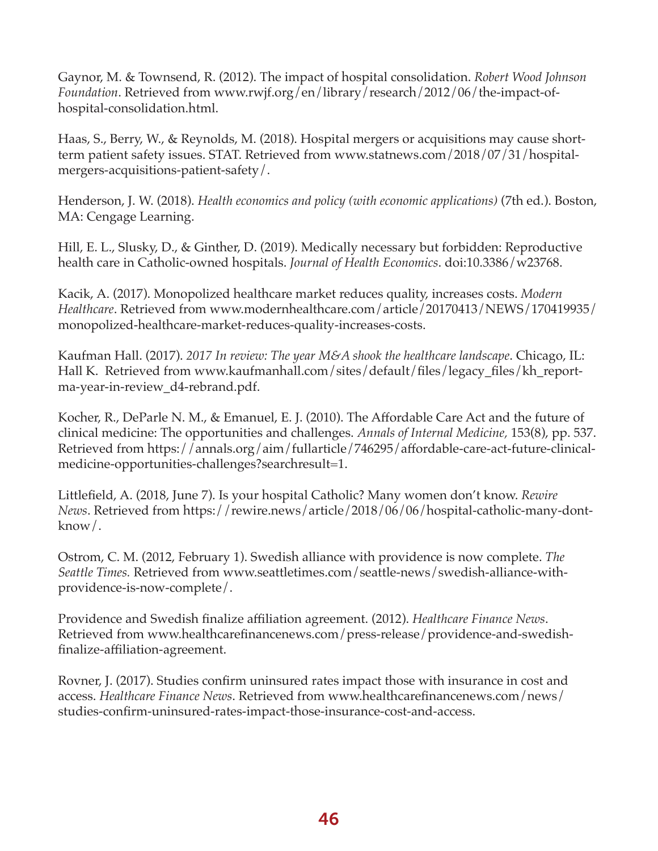Gaynor, M. & Townsend, R. (2012). The impact of hospital consolidation. *Robert Wood Johnson Foundation*. Retrieved from www.rwjf.org/en/library/research/2012/06/the-impact-ofhospital-consolidation.html.

Haas, S., Berry, W., & Reynolds, M. (2018). Hospital mergers or acquisitions may cause shortterm patient safety issues. STAT. Retrieved from www.statnews.com/2018/07/31/hospitalmergers-acquisitions-patient-safety/.

Henderson, J. W. (2018). *Health economics and policy (with economic applications)* (7th ed.). Boston, MA: Cengage Learning.

Hill, E. L., Slusky, D., & Ginther, D. (2019). Medically necessary but forbidden: Reproductive health care in Catholic-owned hospitals. *Journal of Health Economics*. doi:10.3386/w23768.

Kacik, A. (2017). Monopolized healthcare market reduces quality, increases costs. *Modern Healthcare*. Retrieved from www.modernhealthcare.com/article/20170413/NEWS/170419935/ monopolized-healthcare-market-reduces-quality-increases-costs.

Kaufman Hall. (2017). *2017 In review: The year M&A shook the healthcare landscape*. Chicago, IL: Hall K. Retrieved from www.kaufmanhall.com/sites/default/files/legacy\_files/kh\_reportma-year-in-review\_d4-rebrand.pdf.

Kocher, R., DeParle N. M., & Emanuel, E. J. (2010). The Affordable Care Act and the future of clinical medicine: The opportunities and challenges. *Annals of Internal Medicine,* 153(8), pp. 537. Retrieved from https://annals.org/aim/fullarticle/746295/affordable-care-act-future-clinicalmedicine-opportunities-challenges?searchresult=1.

Littlefield, A. (2018, June 7). Is your hospital Catholic? Many women don't know. *Rewire News*. Retrieved from https://rewire.news/article/2018/06/06/hospital-catholic-many-dontknow/.

Ostrom, C. M. (2012, February 1). Swedish alliance with providence is now complete. *The Seattle Times.* Retrieved from www.seattletimes.com/seattle-news/swedish-alliance-withprovidence-is-now-complete/.

Providence and Swedish finalize affiliation agreement. (2012). *Healthcare Finance News*. Retrieved from www.healthcarefinancenews.com/press-release/providence-and-swedishfinalize-affiliation-agreement.

Rovner, J. (2017). Studies confirm uninsured rates impact those with insurance in cost and access. *Healthcare Finance News*. Retrieved from www.healthcarefinancenews.com/news/ studies-confirm-uninsured-rates-impact-those-insurance-cost-and-access.